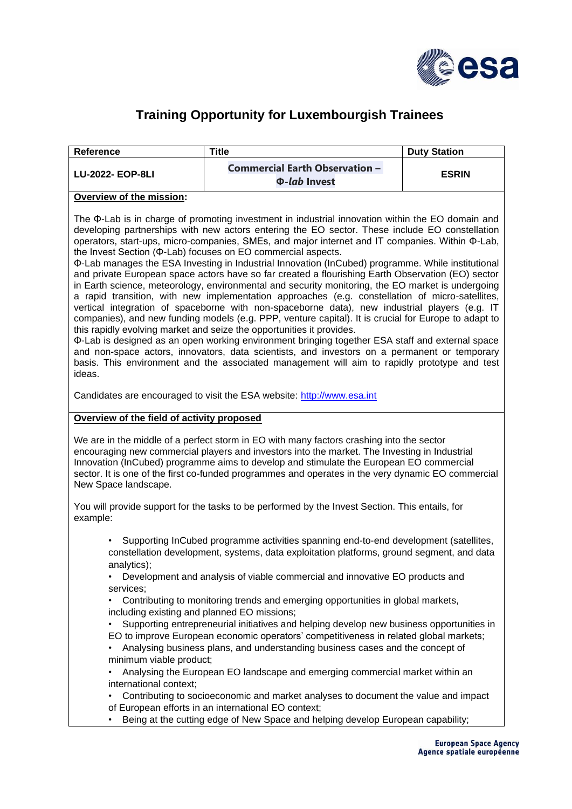

## **Training Opportunity for Luxembourgish Trainees**

| Reference               | Title                                 | <b>Duty Station</b> |
|-------------------------|---------------------------------------|---------------------|
| <b>LU-2022- EOP-8LI</b> | <b>Commercial Earth Observation -</b> | <b>ESRIN</b>        |
|                         | Φ- <i>lab</i> Invest                  |                     |

## **Overview of the mission:**

The Φ-Lab is in charge of promoting investment in industrial innovation within the EO domain and developing partnerships with new actors entering the EO sector. These include EO constellation operators, start-ups, micro-companies, SMEs, and major internet and IT companies. Within Φ-Lab, the Invest Section (Φ-Lab) focuses on EO commercial aspects.

Φ-Lab manages the ESA Investing in Industrial Innovation (InCubed) programme. While institutional and private European space actors have so far created a flourishing Earth Observation (EO) sector in Earth science, meteorology, environmental and security monitoring, the EO market is undergoing a rapid transition, with new implementation approaches (e.g. constellation of micro-satellites, vertical integration of spaceborne with non-spaceborne data), new industrial players (e.g. IT companies), and new funding models (e.g. PPP, venture capital). It is crucial for Europe to adapt to this rapidly evolving market and seize the opportunities it provides.

Φ-Lab is designed as an open working environment bringing together ESA staff and external space and non-space actors, innovators, data scientists, and investors on a permanent or temporary basis. This environment and the associated management will aim to rapidly prototype and test ideas.

Candidates are encouraged to visit the ESA website: [http://www.esa.int](http://www.esa.int/)

## **Overview of the field of activity proposed**

We are in the middle of a perfect storm in EO with many factors crashing into the sector encouraging new commercial players and investors into the market. The Investing in Industrial Innovation (InCubed) programme aims to develop and stimulate the European EO commercial sector. It is one of the first co-funded programmes and operates in the very dynamic EO commercial New Space landscape.

You will provide support for the tasks to be performed by the Invest Section. This entails, for example:

• Supporting InCubed programme activities spanning end-to-end development (satellites, constellation development, systems, data exploitation platforms, ground segment, and data analytics);

• Development and analysis of viable commercial and innovative EO products and services;

• Contributing to monitoring trends and emerging opportunities in global markets, including existing and planned EO missions;

• Supporting entrepreneurial initiatives and helping develop new business opportunities in EO to improve European economic operators' competitiveness in related global markets;

• Analysing business plans, and understanding business cases and the concept of minimum viable product;

• Analysing the European EO landscape and emerging commercial market within an international context;

• Contributing to socioeconomic and market analyses to document the value and impact of European efforts in an international EO context;

• Being at the cutting edge of New Space and helping develop European capability;